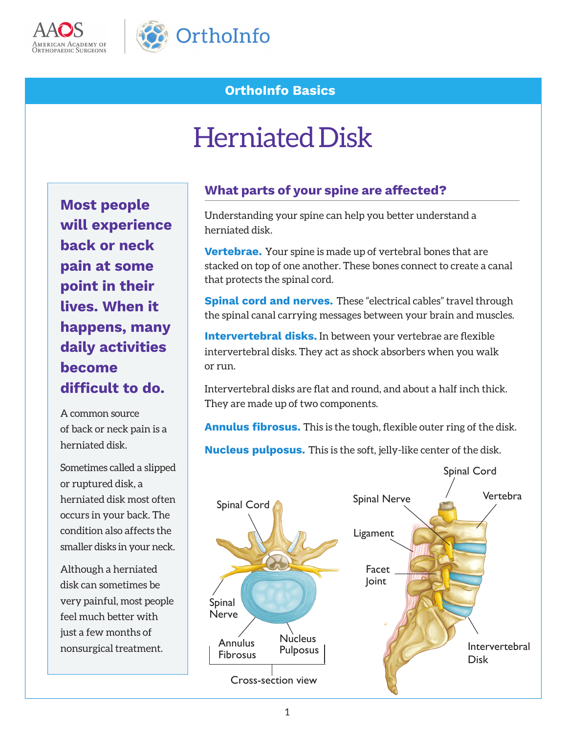



# **OrthoInfo Basics**

# Herniated Disk

**Most people will experience back or neck pain at some point in their lives. When it happens, many daily activities become difficult to do.** 

A common source of back or neck pain is a herniated disk.

Sometimes called a slipped or ruptured disk, a herniated disk most often occurs in your back. The condition also affects the smaller disks in your neck.

Although a herniated disk can sometimes be very painful, most people feel much better with just a few months of nonsurgical treatment.

## **What parts of your spine are affected?**

Understanding your spine can help you better understand a herniated disk.

**Vertebrae.** Your spine is made up of vertebral bones that are stacked on top of one another. These bones connect to create a canal that protects the spinal cord.

**Spinal cord and nerves.** These "electrical cables" travel through the spinal canal carrying messages between your brain and muscles.

**Intervertebral disks.** In between your vertebrae are flexible intervertebral disks. They act as shock absorbers when you walk or run.

Intervertebral disks are flat and round, and about a half inch thick. They are made up of two components.

**Annulus fibrosus.** This is the tough, flexible outer ring of the disk.

**Nucleus pulposus.** This is the soft, jelly-like center of the disk.

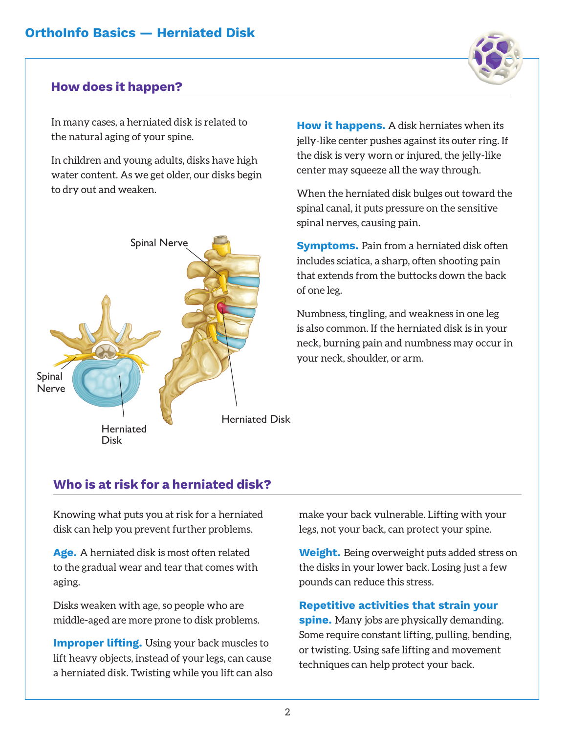## **How does it happen?**



In many cases, a herniated disk is related to the natural aging of your spine.

In children and young adults, disks have high water content. As we get older, our disks begin to dry out and weaken.



**How it happens.** A disk herniates when its jelly-like center pushes against its outer ring. If the disk is very worn or injured, the jelly-like center may squeeze all the way through.

When the herniated disk bulges out toward the spinal canal, it puts pressure on the sensitive spinal nerves, causing pain.

**Symptoms.** Pain from a herniated disk often includes sciatica, a sharp, often shooting pain that extends from the buttocks down the back of one leg.

Numbness, tingling, and weakness in one leg is also common. If the herniated disk is in your neck, burning pain and numbness may occur in your neck, shoulder, or arm.

# **Who is at risk for a herniated disk?**

Knowing what puts you at risk for a herniated disk can help you prevent further problems.

**Age.** A herniated disk is most often related to the gradual wear and tear that comes with aging.

Disks weaken with age, so people who are middle-aged are more prone to disk problems.

**Improper lifting.** Using your back muscles to lift heavy objects, instead of your legs, can cause a herniated disk. Twisting while you lift can also make your back vulnerable. Lifting with your legs, not your back, can protect your spine.

**Weight.** Being overweight puts added stress on the disks in your lower back. Losing just a few pounds can reduce this stress.

#### **Repetitive activities that strain your spine.** Many jobs are physically demanding. Some require constant lifting, pulling, bending, or twisting. Using safe lifting and movement techniques can help protect your back.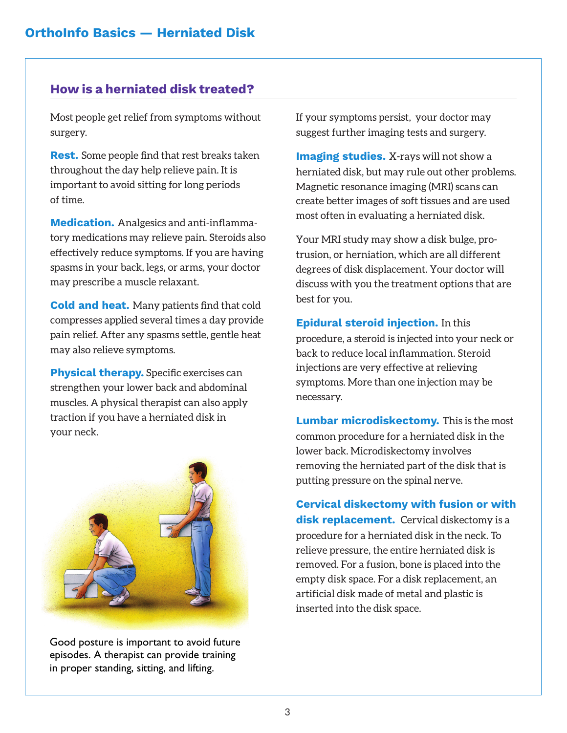#### **How is a herniated disk treated?**

Most people get relief from symptoms without surgery.

**Rest.** Some people find that rest breaks taken throughout the day help relieve pain. It is important to avoid sitting for long periods of time.

**Medication.** Analgesics and anti-inflammatory medications may relieve pain. Steroids also effectively reduce symptoms. If you are having spasms in your back, legs, or arms, your doctor may prescribe a muscle relaxant.

**Cold and heat.** Many patients find that cold compresses applied several times a day provide pain relief. After any spasms settle, gentle heat may also relieve symptoms.

**Physical therapy.** Specific exercises can strengthen your lower back and abdominal muscles. A physical therapist can also apply traction if you have a herniated disk in your neck.



Good posture is important to avoid future episodes. A therapist can provide training in proper standing, sitting, and lifting.

If your symptoms persist, your doctor may suggest further imaging tests and surgery.

**Imaging studies.** X-rays will not show a herniated disk, but may rule out other problems. Magnetic resonance imaging (MRI) scans can create better images of soft tissues and are used most often in evaluating a herniated disk.

Your MRI study may show a disk bulge, protrusion, or herniation, which are all different degrees of disk displacement. Your doctor will discuss with you the treatment options that are best for you.

**Epidural steroid injection.** In this procedure, a steroid is injected into your neck or back to reduce local inflammation. Steroid injections are very effective at relieving symptoms. More than one injection may be necessary.

**Lumbar microdiskectomy.** This is the most common procedure for a herniated disk in the lower back. Microdiskectomy involves removing the herniated part of the disk that is putting pressure on the spinal nerve.

**Cervical diskectomy with fusion or with disk replacement.** Cervical diskectomy is a procedure for a herniated disk in the neck. To relieve pressure, the entire herniated disk is removed. For a fusion, bone is placed into the empty disk space. For a disk replacement, an artificial disk made of metal and plastic is inserted into the disk space.